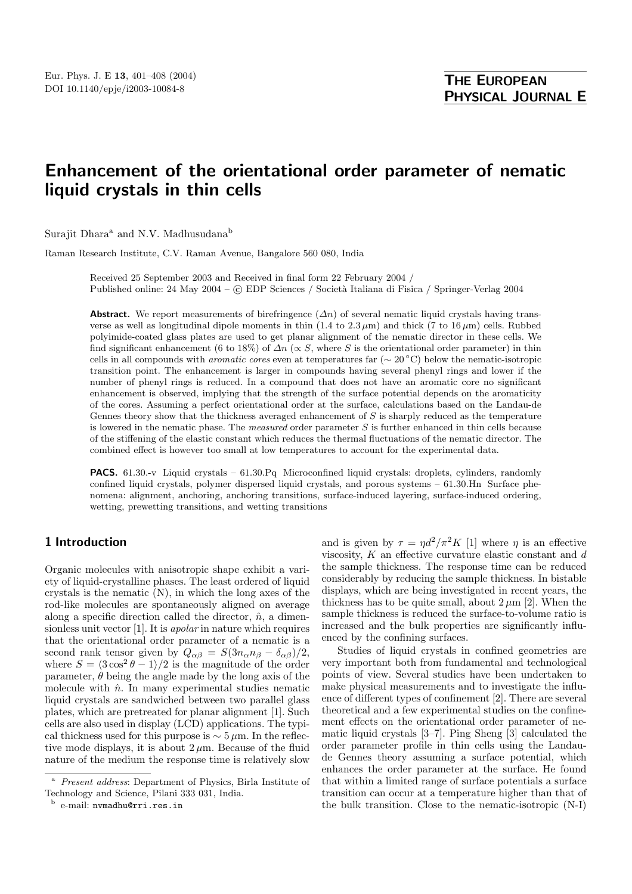# **Enhancement of the orientational order parameter of nematic liquid cry stals in thin cells**

Surajit Dhara<sup>a</sup> and N.V. Madhusudana<sup>b</sup>

Raman Research Institute, C.V. Raman Avenue, Bangalore 560 080, India

Received 25 September 2003 and Received in final form 22 February 2004 / Published online: 24 May 2004 – © EDP Sciences / Società Italiana di Fisica / Springer-Verlag 2004

**Abstract.** We report measurements of birefringence  $(\Delta n)$  of several nematic liquid crystals having transverse as well as longitudinal dipole moments in thin  $(1.4 \text{ to } 2.3 \mu \text{m})$  and thick  $(7 \text{ to } 16 \mu \text{m})$  cells. Rubbed polyimide-coated glass plates are used to get planar alignment of the nematic director in these cells. We find significant enhancement (6 to 18%) of  $\Delta n$  ( $\propto$  S, where S is the orientational order parameter) in thin cells in all compounds with *aromatic cores* even at temperatures far ( $\sim 20$  °C) below the nematic-isotropic transition point. The enhancement is larger in compounds having several phenyl rings and lower if the number of phenyl rings is reduced. In a compound that does not have an aromatic core no significant enhancement is observed, implying that the strength of the surface potential depends on the aromaticity of the cores. Assuming a perfect orientational order at the surface, calculations based on the Landau-de Gennes theory show that the thickness averaged enhancement of  $S$  is sharply reduced as the temperature is lowered in the nematic phase. The *measured* order parameter S is further enhanced in thin cells because of the stiffening of the elastic constant which reduces the thermal fluctuations of the nematic director. The combined effect is however too small at low temperatures to account for the experimental data.

**PACS.** 61.30.-v Liquid crystals – 61.30.Pq Microconfined liquid crystals: droplets, cylinders, randomly confined liquid crystals, polymer dispersed liquid crystals, and porous systems – 61.30.Hn Surface phenomena: alignment, anchoring, anchoring transitions, surface-induced layering, surface-induced ordering, wetting, prewetting transitions, and wetting transitions

## **1 Introduction**

Organic molecules with anisotropic shape exhibit a variety of liquid-crystalline phases. The least ordered of liquid crystals is the nematic (N), in which the long axes of the rod-like molecules are spontaneously aligned on average along a specific direction called the director,  $\hat{n}$ , a dimensionless unit vector [1]. It is apolar in nature which requires that the orientational order parameter of a nematic is a second rank tensor given by  $Q_{\alpha\beta} = S(3n_{\alpha}n_{\beta} - \delta_{\alpha\beta})/2$ , where  $S = \langle 3\cos^2\theta - 1 \rangle/2$  is the magnitude of the order parameter,  $\theta$  being the angle made by the long axis of the molecule with  $\hat{n}$ . In many experimental studies nematic liquid crystals are sandwiched between two parallel glass plates, which are pretreated for planar alignment [1]. Such cells are also used in display (LCD) applications. The typical thickness used for this purpose is  $\sim 5 \,\mu \text{m}$ . In the reflective mode displays, it is about  $2 \mu$ m. Because of the fluid nature of the medium the response time is relatively slow

and is given by  $\tau = \eta d^2 / \pi^2 K$  [1] where  $\eta$  is an effective viscosity,  $K$  an effective curvature elastic constant and  $d$ the sample thickness. The response time can be reduced considerably by reducing the sample thickness. In bistable displays, which are being investigated in recent years, the thickness has to be quite small, about  $2 \mu m$  [2]. When the sample thickness is reduced the surface-to-volume ratio is increased and the bulk properties are significantly influenced by the confining surfaces.

Studies of liquid crystals in confined geometries are very important both from fundamental and technological points of view. Several studies have been undertaken to make physical measurements and to investigate the influence of different types of confinement [2]. There are several theoretical and a few experimental studies on the confinement effects on the orientational order parameter of nematic liquid crystals [3–7]. Ping Sheng [3] calculated the order parameter profile in thin cells using the Landaude Gennes theory assuming a surface potential, which enhances the order parameter at the surface. He found that within a limited range of surface potentials a surface transition can occur at a temperature higher than that of the bulk transition. Close to the nematic-isotropic (N-I)

<sup>a</sup> Present address: Department of Physics, Birla Institute of Technology and Science, Pilani 333 031, India.

<sup>b</sup> e-mail: nvmadhu@rri.res.in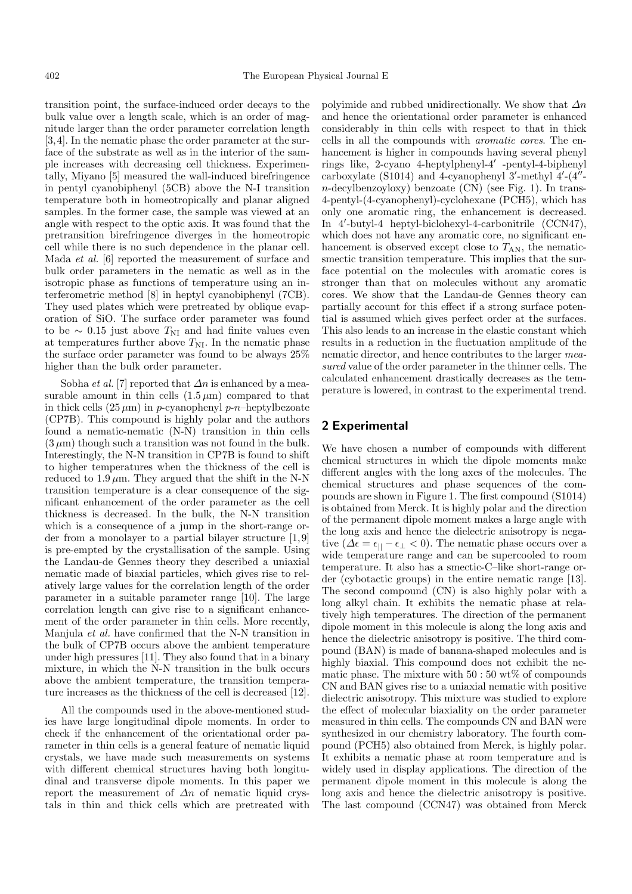transition point, the surface-induced order decays to the bulk value over a length scale, which is an order of magnitude larger than the order parameter correlation length [3,4]. In the nematic phase the order parameter at the surface of the substrate as well as in the interior of the sample increases with decreasing cell thickness. Experimentally, Miyano [5] measured the wall-induced birefringence in pentyl cyanobiphenyl (5CB) above the N-I transition temperature both in homeotropically and planar aligned samples. In the former case, the sample was viewed at an angle with respect to the optic axis. It was found that the pretransition birefringence diverges in the homeotropic cell while there is no such dependence in the planar cell. Mada et al. [6] reported the measurement of surface and bulk order parameters in the nematic as well as in the isotropic phase as functions of temperature using an interferometric method [8] in heptyl cyanobiphenyl (7CB). They used plates which were pretreated by oblique evaporation of SiO. The surface order parameter was found to be ∼ 0.15 just above  $T_{\text{NI}}$  and had finite values even at temperatures further above  $T_{\rm NI}$ . In the nematic phase the surface order parameter was found to be always 25% higher than the bulk order parameter.

Sobha *et al.* [7] reported that  $\Delta n$  is enhanced by a measurable amount in thin cells  $(1.5 \,\mu\text{m})$  compared to that in thick cells  $(25 \,\mu\text{m})$  in p-cyanophenyl p-n-heptylbezoate (CP7B). This compound is highly polar and the authors found a nematic-nematic (N-N) transition in thin cells  $(3 \mu m)$  though such a transition was not found in the bulk. Interestingly, the N-N transition in CP7B is found to shift to higher temperatures when the thickness of the cell is reduced to  $1.9 \mu m$ . They argued that the shift in the N-N transition temperature is a clear consequence of the significant enhancement of the order parameter as the cell thickness is decreased. In the bulk, the N-N transition which is a consequence of a jump in the short-range order from a monolayer to a partial bilayer structure [1, 9] is pre-empted by the crystallisation of the sample. Using the Landau-de Gennes theory they described a uniaxial nematic made of biaxial particles, which gives rise to relatively large values for the correlation length of the order parameter in a suitable parameter range [10]. The large correlation length can give rise to a significant enhancement of the order parameter in thin cells. More recently, Manjula et al. have confirmed that the N-N transition in the bulk of CP7B occurs above the ambient temperature under high pressures [11]. They also found that in a binary mixture, in which the N-N transition in the bulk occurs above the ambient temperature, the transition temperature increases as the thickness of the cell is decreased [12].

All the compounds used in the above-mentioned studies have large longitudinal dipole moments. In order to check if the enhancement of the orientational order parameter in thin cells is a general feature of nematic liquid crystals, we have made such measurements on systems with different chemical structures having both longitudinal and transverse dipole moments. In this paper we report the measurement of  $\Delta n$  of nematic liquid crystals in thin and thick cells which are pretreated with

polyimide and rubbed unidirectionally. We show that  $\Delta n$ and hence the orientational order parameter is enhanced considerably in thin cells with respect to that in thick cells in all the compounds with aromatic cores. The enhancement is higher in compounds having several phenyl rings like, 2-cyano 4-heptylphenyl-4 -pentyl-4-biphenyl carboxylate  $(S1014)$  and 4-cyanophenyl 3'-methyl 4'- $(4"$  $n$ -decylbenzoyloxy) benzoate  $(CN)$  (see Fig. 1). In trans-4-pentyl-(4-cyanophenyl)-cyclohexane (PCH5), which has only one aromatic ring, the enhancement is decreased. In 4 -butyl-4 heptyl-biclohexyl-4-carbonitrile (CCN47), which does not have any aromatic core, no significant enhancement is observed except close to  $T_{AN}$ , the nematicsmectic transition temperature. This implies that the surface potential on the molecules with aromatic cores is stronger than that on molecules without any aromatic cores. We show that the Landau-de Gennes theory can partially account for this effect if a strong surface potential is assumed which gives perfect order at the surfaces. This also leads to an increase in the elastic constant which results in a reduction in the fluctuation amplitude of the nematic director, and hence contributes to the larger measured value of the order parameter in the thinner cells. The calculated enhancement drastically decreases as the temperature is lowered, in contrast to the experimental trend.

#### **2 Experimental**

We have chosen a number of compounds with different chemical structures in which the dipole moments make different angles with the long axes of the molecules. The chemical structures and phase sequences of the compounds are shown in Figure 1. The first compound (S1014) is obtained from Merck. It is highly polar and the direction of the permanent dipole moment makes a large angle with the long axis and hence the dielectric anisotropy is negative ( $\Delta \epsilon = \epsilon_{||} - \epsilon_{\perp} < 0$ ). The nematic phase occurs over a wide temperature range and can be supercooled to room temperature. It also has a smectic-C–like short-range order (cybotactic groups) in the entire nematic range [13]. The second compound (CN) is also highly polar with a long alkyl chain. It exhibits the nematic phase at relatively high temperatures. The direction of the permanent dipole moment in this molecule is along the long axis and hence the dielectric anisotropy is positive. The third compound (BAN) is made of banana-shaped molecules and is highly biaxial. This compound does not exhibit the nematic phase. The mixture with  $50:50$  wt% of compounds CN and BAN gives rise to a uniaxial nematic with positive dielectric anisotropy. This mixture was studied to explore the effect of molecular biaxiality on the order parameter measured in thin cells. The compounds CN and BAN were synthesized in our chemistry laboratory. The fourth compound (PCH5) also obtained from Merck, is highly polar. It exhibits a nematic phase at room temperature and is widely used in display applications. The direction of the permanent dipole moment in this molecule is along the long axis and hence the dielectric anisotropy is positive. The last compound (CCN47) was obtained from Merck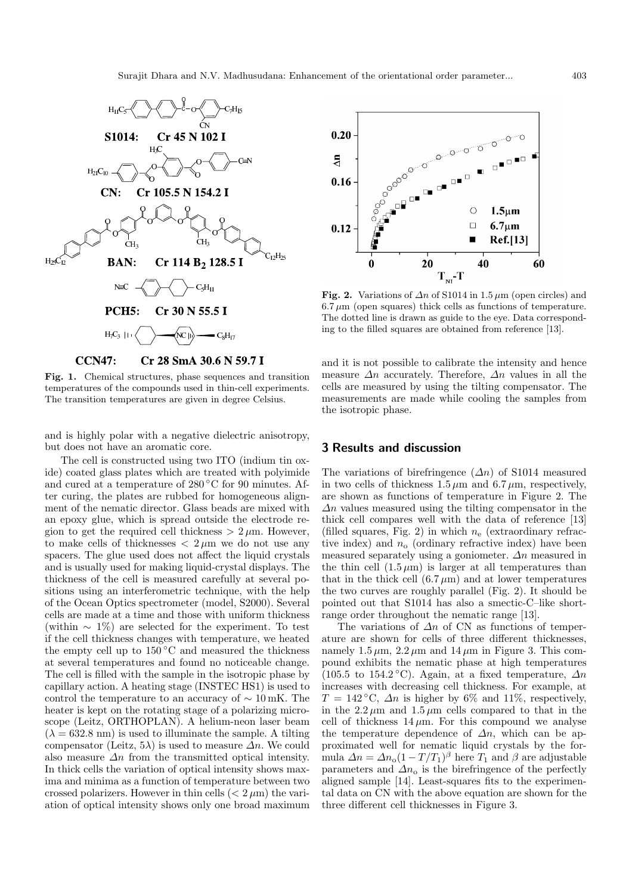

**Fig. 1.** Chemical structures, phase sequences and transition temperatures of the compounds used in thin-cell experiments. The transition temperatures are given in degree Celsius.

and is highly polar with a negative dielectric anisotropy, but does not have an aromatic core.

The cell is constructed using two ITO (indium tin oxide) coated glass plates which are treated with polyimide and cured at a temperature of  $280\degree\text{C}$  for 90 minutes. After curing, the plates are rubbed for homogeneous alignment of the nematic director. Glass beads are mixed with an epoxy glue, which is spread outside the electrode region to get the required cell thickness  $> 2 \mu$ m. However, to make cells of thicknesses  $\langle 2 \mu m \rangle$  we do not use any spacers. The glue used does not affect the liquid crystals and is usually used for making liquid-crystal displays. The thickness of the cell is measured carefully at several positions using an interferometric technique, with the help of the Ocean Optics spectrometer (model, S2000). Several cells are made at a time and those with uniform thickness (within  $\sim 1\%$ ) are selected for the experiment. To test if the cell thickness changes with temperature, we heated the empty cell up to  $150\,^{\circ}\text{C}$  and measured the thickness at several temperatures and found no noticeable change. The cell is filled with the sample in the isotropic phase by capillary action. A heating stage (INSTEC HS1) is used to control the temperature to an accuracy of  $\sim 10 \text{ mK}$ . The heater is kept on the rotating stage of a polarizing microscope (Leitz, ORTHOPLAN). A helium-neon laser beam  $(\lambda = 632.8 \text{ nm})$  is used to illuminate the sample. A tilting compensator (Leitz, 5 $\lambda$ ) is used to measure  $\Delta n$ . We could also measure  $\Delta n$  from the transmitted optical intensity. In thick cells the variation of optical intensity shows maxima and minima as a function of temperature between two crossed polarizers. However in thin cells  $(< 2 \mu m)$  the variation of optical intensity shows only one broad maximum



**Fig. 2.** Variations of  $\Delta n$  of S1014 in 1.5  $\mu$ m (open circles) and  $6.7 \,\mu\text{m}$  (open squares) thick cells as functions of temperature. The dotted line is drawn as guide to the eye. Data corresponding to the filled squares are obtained from reference [13].

and it is not possible to calibrate the intensity and hence measure  $\Delta n$  accurately. Therefore,  $\Delta n$  values in all the cells are measured by using the tilting compensator. The measurements are made while cooling the samples from the isotropic phase.

## **3 Results and discussion**

The variations of birefringence  $(\Delta n)$  of S1014 measured in two cells of thickness  $1.5 \mu m$  and  $6.7 \mu m$ , respectively, are shown as functions of temperature in Figure 2. The  $\Delta n$  values measured using the tilting compensator in the thick cell compares well with the data of reference [13] (filled squares, Fig. 2) in which  $n_e$  (extraordinary refractive index) and  $n_0$  (ordinary refractive index) have been measured separately using a goniometer.  $\Delta n$  measured in the thin cell  $(1.5 \,\mu\text{m})$  is larger at all temperatures than that in the thick cell  $(6.7 \,\mu\text{m})$  and at lower temperatures the two curves are roughly parallel (Fig. 2). It should be pointed out that S1014 has also a smectic-C–like shortrange order throughout the nematic range [13].

The variations of  $\Delta n$  of CN as functions of temperature are shown for cells of three different thicknesses, namely  $1.5 \mu m$ ,  $2.2 \mu m$  and  $14 \mu m$  in Figure 3. This compound exhibits the nematic phase at high temperatures (105.5 to 154.2 °C). Again, at a fixed temperature,  $\Delta n$ increases with decreasing cell thickness. For example, at  $T = 142 \degree C$ ,  $\Delta n$  is higher by 6% and 11%, respectively, in the  $2.2 \mu m$  and  $1.5 \mu m$  cells compared to that in the cell of thickness  $14 \mu m$ . For this compound we analyse the temperature dependence of  $\Delta n$ , which can be approximated well for nematic liquid crystals by the formula  $\Delta n = \Delta n_0 (1 - T/T_1)^{\beta}$  here  $T_1$  and  $\beta$  are adjustable parameters and  $\Delta n_0$  is the birefringence of the perfectly aligned sample [14]. Least-squares fits to the experimental data on CN with the above equation are shown for the three different cell thicknesses in Figure 3.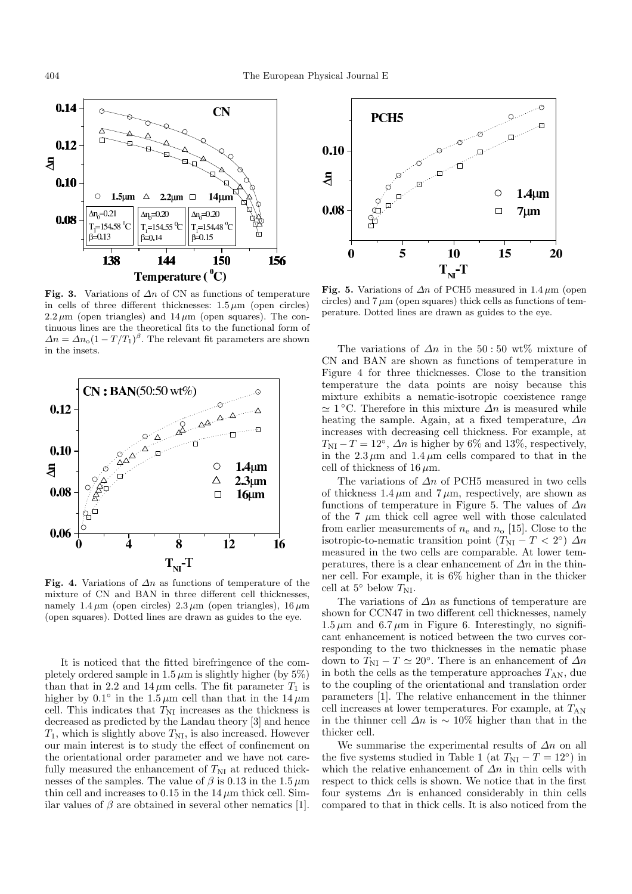

**Fig. 3.** Variations of  $\Delta n$  of CN as functions of temperature in cells of three different thicknesses:  $1.5 \mu m$  (open circles)  $2.2 \mu m$  (open triangles) and  $14 \mu m$  (open squares). The continuous lines are the theoretical fits to the functional form of  $\Delta n = \Delta n_{\rm o} (1 - T/T_1)^{\beta}$ . The relevant fit parameters are shown in the insets.



**Fig. 4.** Variations of ∆n as functions of temperature of the mixture of CN and BAN in three different cell thicknesses, namely  $1.4 \mu m$  (open circles)  $2.3 \mu m$  (open triangles),  $16 \mu m$ (open squares). Dotted lines are drawn as guides to the eye.

It is noticed that the fitted birefringence of the completely ordered sample in  $1.5 \mu m$  is slightly higher (by  $5\%$ ) than that in 2.2 and  $14 \mu m$  cells. The fit parameter  $T_1$  is higher by  $0.1°$  in the  $1.5 \mu m$  cell than that in the  $14 \mu m$ cell. This indicates that  $T_{\text{NI}}$  increases as the thickness is decreased as predicted by the Landau theory [3] and hence  $T_1$ , which is slightly above  $T_{\rm NI}$ , is also increased. However our main interest is to study the effect of confinement on the orientational order parameter and we have not carefully measured the enhancement of  $T_{\text{NI}}$  at reduced thicknesses of the samples. The value of  $\beta$  is  $0.13$  in the  $1.5\,\mu\mathrm{m}$ thin cell and increases to 0.15 in the  $14 \mu m$  thick cell. Similar values of  $\beta$  are obtained in several other nematics [1].



**Fig. 5.** Variations of  $\Delta n$  of PCH5 measured in 1.4  $\mu$ m (open circles) and  $7 \mu m$  (open squares) thick cells as functions of temperature. Dotted lines are drawn as guides to the eye.

The variations of  $\Delta n$  in the 50:50 wt% mixture of CN and BAN are shown as functions of temperature in Figure 4 for three thicknesses. Close to the transition temperature the data points are noisy because this mixture exhibits a nematic-isotropic coexistence range  $\approx 1$  °C. Therefore in this mixture  $\Delta n$  is measured while heating the sample. Again, at a fixed temperature,  $\Delta n$ increases with decreasing cell thickness. For example, at  $T_{\rm NI} - T = 12^{\circ}$ ,  $\Delta n$  is higher by 6% and 13%, respectively, in the  $2.3 \mu m$  and  $1.4 \mu m$  cells compared to that in the cell of thickness of  $16 \mu m$ .

The variations of  $\Delta n$  of PCH5 measured in two cells of thickness  $1.4 \mu m$  and  $7 \mu m$ , respectively, are shown as functions of temperature in Figure 5. The values of  $\Delta n$ of the  $7 \mu m$  thick cell agree well with those calculated from earlier measurements of  $n_e$  and  $n_o$  [15]. Close to the isotropic-to-nematic transition point  $(T_{\text{NI}} - T < 2^{\circ}) \Delta n$ measured in the two cells are comparable. At lower temperatures, there is a clear enhancement of  $\Delta n$  in the thinner cell. For example, it is 6% higher than in the thicker cell at 5<sup>°</sup> below  $T_{\rm NI}$ .

The variations of  $\Delta n$  as functions of temperature are shown for CCN47 in two different cell thicknesses, namely  $1.5 \mu m$  and  $6.7 \mu m$  in Figure 6. Interestingly, no significant enhancement is noticed between the two curves corresponding to the two thicknesses in the nematic phase down to  $T_{\text{NI}} - T \simeq 20^{\circ}$ . There is an enhancement of  $\Delta n$ in both the cells as the temperature approaches  $T_{AN}$ , due to the coupling of the orientational and translation order parameters [1]. The relative enhancement in the thinner cell increases at lower temperatures. For example, at  $T_{AN}$ in the thinner cell  $\Delta n$  is ~ 10% higher than that in the thicker cell.

We summarise the experimental results of  $\Delta n$  on all the five systems studied in Table 1 (at  $T_{\text{NI}} - T = 12^{\circ}$ ) in which the relative enhancement of  $\Delta n$  in thin cells with respect to thick cells is shown. We notice that in the first four systems  $\Delta n$  is enhanced considerably in thin cells compared to that in thick cells. It is also noticed from the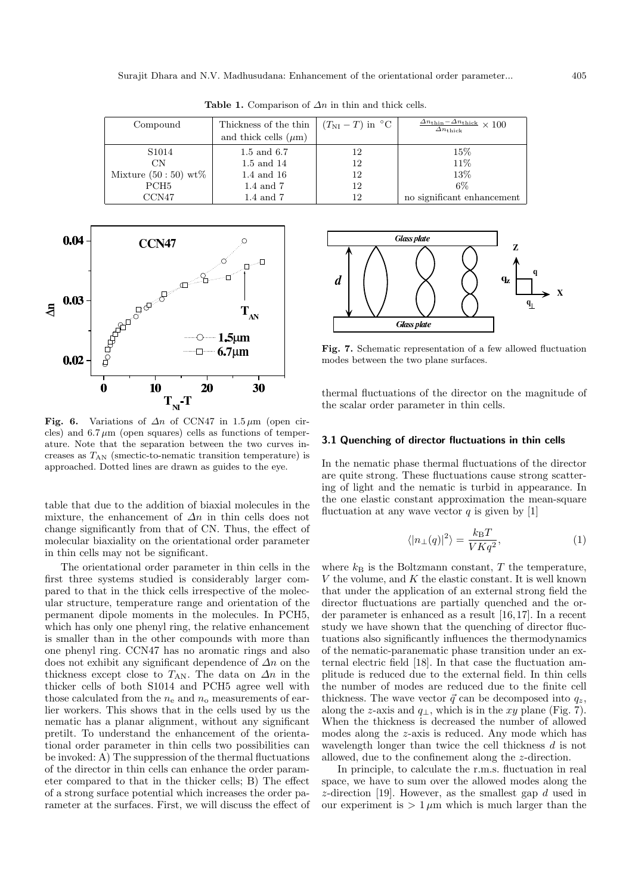| Compound |                       | Thickness of the thin     | $(T_{\text{NI}} - T)$ in $^{\circ}$ C | $\frac{\Delta n_{\text{thin}} - \Delta n_{\text{thick}}}{\Delta n_{\text{thick}}} \times 100$<br>$\Delta n_{\rm thick}$ |
|----------|-----------------------|---------------------------|---------------------------------------|-------------------------------------------------------------------------------------------------------------------------|
|          |                       | and thick cells $(\mu m)$ |                                       |                                                                                                                         |
|          | S <sub>1014</sub>     | 1.5 and 6.7               | 12                                    | $15\%$                                                                                                                  |
|          | CN                    | 1.5 and 14                | 12                                    | 11%                                                                                                                     |
|          | Mixture $(50:50)$ wt% | 1.4 and 16                | 12                                    | 13%                                                                                                                     |
|          | PCH <sub>5</sub>      | $1.4$ and $7$             | 12                                    | $6\%$                                                                                                                   |
|          | CCN47                 | $1.4$ and $7$             | 12                                    | no significant enhancement                                                                                              |

**Table 1.** Comparison of  $\Delta n$  in thin and thick cells.



**Fig. 6.** Variations of  $\Delta n$  of CCN47 in 1.5  $\mu$ m (open circles) and  $6.7 \mu m$  (open squares) cells as functions of temperature. Note that the separation between the two curves increases as  $T_{AN}$  (smectic-to-nematic transition temperature) is approached. Dotted lines are drawn as guides to the eye.

table that due to the addition of biaxial molecules in the mixture, the enhancement of  $\Delta n$  in thin cells does not change significantly from that of CN. Thus, the effect of molecular biaxiality on the orientational order parameter in thin cells may not be significant.

The orientational order parameter in thin cells in the first three systems studied is considerably larger compared to that in the thick cells irrespective of the molecular structure, temperature range and orientation of the permanent dipole moments in the molecules. In PCH5, which has only one phenyl ring, the relative enhancement is smaller than in the other compounds with more than one phenyl ring. CCN47 has no aromatic rings and also does not exhibit any significant dependence of  $\Delta n$  on the thickness except close to  $T_{AN}$ . The data on  $\Delta n$  in the thicker cells of both S1014 and PCH5 agree well with those calculated from the  $n_e$  and  $n_o$  measurements of earlier workers. This shows that in the cells used by us the nematic has a planar alignment, without any significant pretilt. To understand the enhancement of the orientational order parameter in thin cells two possibilities can be invoked: A) The suppression of the thermal fluctuations of the director in thin cells can enhance the order parameter compared to that in the thicker cells; B) The effect of a strong surface potential which increases the order parameter at the surfaces. First, we will discuss the effect of



**Fig. 7.** Schematic representation of a few allowed fluctuation modes between the two plane surfaces.

thermal fluctuations of the director on the magnitude of the scalar order parameter in thin cells.

#### **3.1 Quenching of director fluctuations in thin cells**

In the nematic phase thermal fluctuations of the director are quite strong. These fluctuations cause strong scattering of light and the nematic is turbid in appearance. In the one elastic constant approximation the mean-square fluctuation at any wave vector  $q$  is given by [1]

$$
\langle |n_{\perp}(q)|^2 \rangle = \frac{k_{\rm B}T}{V K q^2},\tag{1}
$$

where  $k_B$  is the Boltzmann constant, T the temperature,  $V$  the volume, and  $K$  the elastic constant. It is well known that under the application of an external strong field the director fluctuations are partially quenched and the order parameter is enhanced as a result [16,17]. In a recent study we have shown that the quenching of director fluctuations also significantly influences the thermodynamics of the nematic-paranematic phase transition under an external electric field [18]. In that case the fluctuation amplitude is reduced due to the external field. In thin cells the number of modes are reduced due to the finite cell thickness. The wave vector  $\vec{q}$  can be decomposed into  $q_z$ , along the z-axis and  $q_{\perp}$ , which is in the xy plane (Fig. 7). When the thickness is decreased the number of allowed modes along the z-axis is reduced. Any mode which has wavelength longer than twice the cell thickness  $d$  is not allowed, due to the confinement along the z-direction.

In principle, to calculate the r.m.s. fluctuation in real space, we have to sum over the allowed modes along the  $z$ -direction [19]. However, as the smallest gap  $d$  used in our experiment is  $> 1 \mu m$  which is much larger than the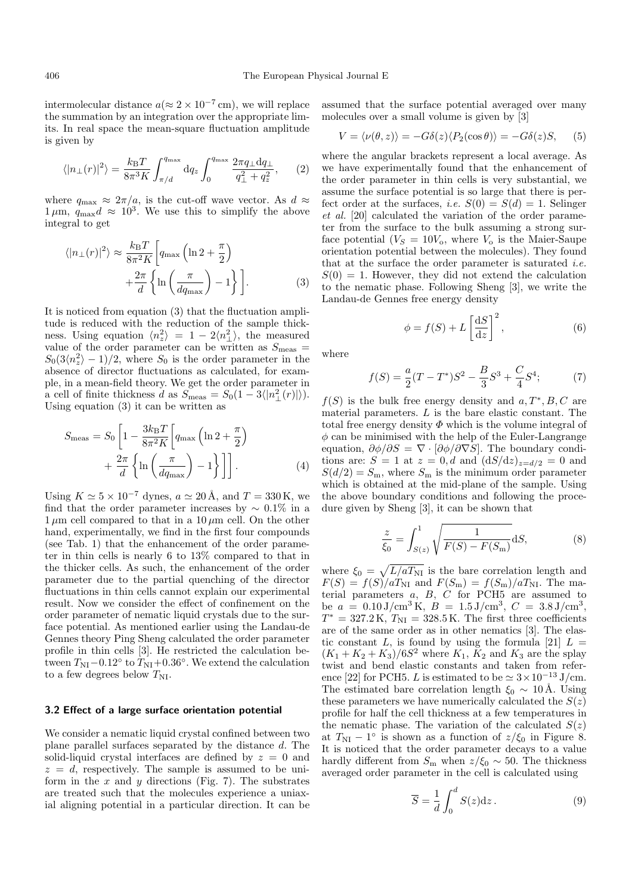intermolecular distance  $a (\approx 2 \times 10^{-7} \text{ cm})$ , we will replace the summation by an integration over the appropriate limits. In real space the mean-square fluctuation amplitude is given by

$$
\langle |n_{\perp}(r)|^2 \rangle = \frac{k_{\rm B}T}{8\pi^3 K} \int_{\pi/d}^{q_{\rm max}} \mathrm{d}q_z \int_0^{q_{\rm max}} \frac{2\pi q_{\perp} \mathrm{d}q_{\perp}}{q_{\perp}^2 + q_z^2},\qquad(2)
$$

where  $q_{\text{max}} \approx 2\pi/a$ , is the cut-off wave vector. As  $d \approx$  $1 \mu m$ ,  $q_{\text{max}}d \approx 10^3$ . We use this to simplify the above integral to get

$$
\langle |n_{\perp}(r)|^2 \rangle \approx \frac{k_{\rm B}T}{8\pi^2 K} \left[ q_{\rm max} \left( \ln 2 + \frac{\pi}{2} \right) + \frac{2\pi}{d} \left\{ \ln \left( \frac{\pi}{dq_{\rm max}} \right) - 1 \right\} \right].
$$
 (3)

It is noticed from equation (3) that the fluctuation amplitude is reduced with the reduction of the sample thickness. Using equation  $\langle n_z^2 \rangle = 1 - 2 \langle n_{\perp}^2 \rangle$ , the measured value of the order parameter can be written as  $S_{\text{meas}} =$  $S_0(3\langle n_z^2 \rangle - 1)/2$ , where  $S_0$  is the order parameter in the absence of director fluctuations as calculated, for example, in a mean-field theory. We get the order parameter in a cell of finite thickness d as  $S_{\text{meas}} = S_0(1 - 3\langle |n_{\perp}^2(r)| \rangle).$ Using equation (3) it can be written as

$$
S_{\text{meas}} = S_0 \left[ 1 - \frac{3k_{\text{B}}T}{8\pi^2 K} \left[ q_{\text{max}} \left( \ln 2 + \frac{\pi}{2} \right) + \frac{2\pi}{d} \left\{ \ln \left( \frac{\pi}{dq_{\text{max}}} \right) - 1 \right\} \right] \right].
$$
 (4)

Using  $K \simeq 5 \times 10^{-7}$  dynes,  $a \simeq 20 \text{ Å}$ , and  $T = 330 \text{ K}$ , we find that the order parameter increases by  $\sim 0.1\%$  in a  $1 \mu m$  cell compared to that in a  $10 \mu m$  cell. On the other hand, experimentally, we find in the first four compounds (see Tab. 1) that the enhancement of the order parameter in thin cells is nearly 6 to 13% compared to that in the thicker cells. As such, the enhancement of the order parameter due to the partial quenching of the director fluctuations in thin cells cannot explain our experimental result. Now we consider the effect of confinement on the order parameter of nematic liquid crystals due to the surface potential. As mentioned earlier using the Landau-de Gennes theory Ping Sheng calculated the order parameter profile in thin cells [3]. He restricted the calculation between  $T_{\text{NI}}-0.12^{\circ}$  to  $T_{\text{NI}}+0.36^{\circ}$ . We extend the calculation to a few degrees below  $T_{\rm NI}.$ 

#### **3.2 Effect of a large surface orientation potential**

We consider a nematic liquid crystal confined between two plane parallel surfaces separated by the distance d. The solid-liquid crystal interfaces are defined by  $z = 0$  and  $z = d$ , respectively. The sample is assumed to be uniform in the  $x$  and  $y$  directions (Fig. 7). The substrates are treated such that the molecules experience a uniaxial aligning potential in a particular direction. It can be

assumed that the surface potential averaged over many molecules over a small volume is given by [3]

$$
V = \langle \nu(\theta, z) \rangle = -G\delta(z) \langle P_2(\cos \theta) \rangle = -G\delta(z)S, \quad (5)
$$

where the angular brackets represent a local average. As we have experimentally found that the enhancement of the order parameter in thin cells is very substantial, we assume the surface potential is so large that there is perfect order at the surfaces, *i.e.*  $S(0) = S(d) = 1$ . Selinger et al. [20] calculated the variation of the order parameter from the surface to the bulk assuming a strong surface potential  $(V<sub>S</sub> = 10V<sub>o</sub>)$ , where  $V<sub>o</sub>$  is the Maier-Saupe orientation potential between the molecules). They found that at the surface the order parameter is saturated *i.e.*  $S(0) = 1$ . However, they did not extend the calculation to the nematic phase. Following Sheng [3], we write the Landau-de Gennes free energy density

$$
\phi = f(S) + L \left[ \frac{\mathrm{d}S}{\mathrm{d}z} \right]^2,\tag{6}
$$

where

$$
f(S) = \frac{a}{2}(T - T^*)S^2 - \frac{B}{3}S^3 + \frac{C}{4}S^4; \tag{7}
$$

 $f(S)$  is the bulk free energy density and  $a, T^*, B, C$  are material parameters. L is the bare elastic constant. The total free energy density  $\Phi$  which is the volume integral of  $\phi$  can be minimised with the help of the Euler-Langrange equation,  $\partial \phi / \partial S = \nabla \cdot [\partial \phi / \partial \nabla S]$ . The boundary conditions are:  $S = 1$  at  $z = 0, d$  and  $(dS/dz)_{z=d/2} = 0$  and  $S(d/2) = S_{\rm m}$ , where  $S_{\rm m}$  is the minimum order parameter which is obtained at the mid-plane of the sample. Using the above boundary conditions and following the procedure given by Sheng [3], it can be shown that

$$
\frac{z}{\xi_0} = \int_{S(z)}^1 \sqrt{\frac{1}{F(S) - F(S_m)}} dS,
$$
 (8)

where  $\xi_0 = \sqrt{L/aT_{\text{NI}}}$  is the bare correlation length and  $F(S) = f(S)/aT_{\text{NI}}$  and  $F(S_{\text{m}}) = f(S_{\text{m}})/aT_{\text{NI}}$ . The material parameters  $a, B, C$  for PCH5 are assumed to be  $a = 0.10 \text{ J/cm}^3 \text{ K}$ ,  $B = 1.5 \text{ J/cm}^3$ ,  $C = 3.8 \text{ J/cm}^3$ ,  $T^* = 327.2 \text{ K}$ ,  $T_{\text{NI}} = 328.5 \text{ K}$ . The first three coefficients are of the same order as in other nematics [3]. The elastic constant L, is found by using the formula [21]  $L =$  $(K_1 + K_2 + K_3)/6S^2$  where  $K_1$ ,  $K_2$  and  $K_3$  are the splay twist and bend elastic constants and taken from reference [22] for PCH5. L is estimated to be  $\simeq 3 \times 10^{-13}$  J/cm. The estimated bare correlation length  $\xi_0 \sim 10 \text{\AA}$ . Using these parameters we have numerically calculated the  $S(z)$ profile for half the cell thickness at a few temperatures in the nematic phase. The variation of the calculated  $S(z)$ at  $T_{\text{NI}} - 1^{\circ}$  is shown as a function of  $z/\xi_0$  in Figure 8. It is noticed that the order parameter decays to a value hardly different from  $S_{\rm m}$  when  $z/\xi_0 \sim 50$ . The thickness averaged order parameter in the cell is calculated using

$$
\overline{S} = \frac{1}{d} \int_0^d S(z) \mathrm{d}z \,. \tag{9}
$$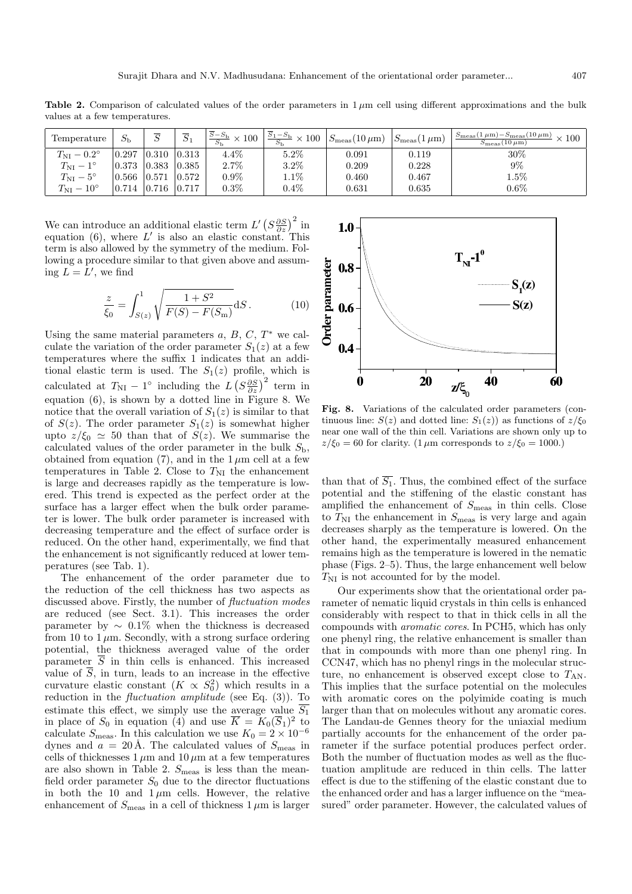**Table 2.** Comparison of calculated values of the order parameters in  $1 \mu$ m cell using different approximations and the bulk values at a few temperatures.

| Temperature               | $S_{\rm b}$      |                   | $\overline{\alpha}$<br>$\mathcal{D}1$ | $\frac{\overline{S}-S_{\rm b}}{S} \times 100$ | $\frac{S_1-S_{\rm b}}{S} \times 100$ | $S_{\rm meas}(10 \,\mu{\rm m})$ | $S_{\rm meas}(1 \,\mu{\rm m})$ | $S_{\text{meas}}(1 \,\mu\text{m}) - S_{\text{meas}}(10 \,\mu\text{m}) \times 100$<br>$S_{\rm meas}(10 \,\mu{\rm m})$ |
|---------------------------|------------------|-------------------|---------------------------------------|-----------------------------------------------|--------------------------------------|---------------------------------|--------------------------------|----------------------------------------------------------------------------------------------------------------------|
| $T_{\rm NI}-0.2^{\circ}$  | 0.297            | $0.310 \ \ 0.313$ |                                       | $4.4\%$                                       | $5.2\%$                              | 0.091                           | 0.119                          | 30%                                                                                                                  |
| $T_{\rm NI}-1^{\circ}$    | $0.373$ $ 0.383$ |                   | 0.385                                 | 2.7%                                          | 3.2%                                 | 0.209                           | 0.228                          | $9\%$                                                                                                                |
| $T_{\rm NI} - 5^{\circ}$  | 0.566            | 0.571             | 0.572                                 | $0.9\%$                                       | $1.1\%$                              | 0.460                           | 0.467                          | $1.5\%$                                                                                                              |
| $T_{\rm NI} - 10^{\circ}$ | 0.714            | $0.716$ 0.717     |                                       | $0.3\%$                                       | $0.4\%$                              | 0.631                           | 0.635                          | $0.6\%$                                                                                                              |

We can introduce an additional elastic term  $L' \left(S \frac{\partial S}{\partial z}\right)^2$  in equation (6), where L' is also an elastic constant. This term is also allowed by the symmetry of the medium. Following a procedure similar to that given above and assuming  $\overline{L} = L'$ , we find

$$
\frac{z}{\xi_0} = \int_{S(z)}^1 \sqrt{\frac{1 + S^2}{F(S) - F(S_m)}} dS.
$$
 (10)

Using the same material parameters  $a, B, C, T^*$  we calculate the variation of the order parameter  $S_1(z)$  at a few temperatures where the suffix 1 indicates that an additional elastic term is used. The  $S_1(z)$  profile, which is calculated at  $T_{\text{NI}} - 1^{\circ}$  including the  $L(S \frac{\partial S}{\partial z})^2$  term in equation (6), is shown by a dotted line in Figure 8. We notice that the overall variation of  $S_1(z)$  is similar to that of  $S(z)$ . The order parameter  $S_1(z)$  is somewhat higher upto  $z/\xi_0 \simeq 50$  than that of  $S(z)$ . We summarise the calculated values of the order parameter in the bulk  $S_{\rm b}$ , obtained from equation (7), and in the  $1 \mu m$  cell at a few temperatures in Table 2. Close to  $T_{\text{NI}}$  the enhancement is large and decreases rapidly as the temperature is lowered. This trend is expected as the perfect order at the surface has a larger effect when the bulk order parameter is lower. The bulk order parameter is increased with decreasing temperature and the effect of surface order is reduced. On the other hand, experimentally, we find that the enhancement is not significantly reduced at lower temperatures (see Tab. 1).

The enhancement of the order parameter due to the reduction of the cell thickness has two aspects as discussed above. Firstly, the number of fluctuation modes are reduced (see Sect. 3.1). This increases the order parameter by  $\sim 0.1\%$  when the thickness is decreased from 10 to 1  $\mu$ m. Secondly, with a strong surface ordering potential, the thickness averaged value of the order parameter  $\overline{S}$  in thin cells is enhanced. This increased value of  $\overline{S}$ , in turn, leads to an increase in the effective curvature elastic constant  $(K \propto S_0^2)$  which results in a reduction in the *fluctuation amplitude* (see Eq.  $(3)$ ). To estimate this effect, we simply use the average value  $\overline{S_1}$ in place of  $S_0$  in equation (4) and use  $\overline{K} = K_0(\overline{S}_1)^2$  to calculate  $S_{\text{meas}}$ . In this calculation we use  $K_0 = 2 \times 10^{-6}$ dynes and  $a = 20 \text{ Å}$ . The calculated values of  $S_{\text{meas}}$  in cells of thicknesses  $1 \mu m$  and  $10 \mu m$  at a few temperatures are also shown in Table 2.  $S_{\text{meas}}$  is less than the meanfield order parameter  $S_0$  due to the director fluctuations in both the 10 and  $1 \mu m$  cells. However, the relative enhancement of  $S_{\text{meas}}$  in a cell of thickness  $1 \mu \text{m}$  is larger



**Fig. 8.** Variations of the calculated order parameters (continuous line:  $S(z)$  and dotted line:  $S_1(z)$  as functions of  $z/\xi_0$ near one wall of the thin cell. Variations are shown only up to  $z/\xi_0 = 60$  for clarity. (1  $\mu$ m corresponds to  $z/\xi_0 = 1000$ .)

than that of  $\overline{S_1}$ . Thus, the combined effect of the surface potential and the stiffening of the elastic constant has amplified the enhancement of  $S_{\text{meas}}$  in thin cells. Close to  $T_{\text{NI}}$  the enhancement in  $S_{\text{meas}}$  is very large and again decreases sharply as the temperature is lowered. On the other hand, the experimentally measured enhancement remains high as the temperature is lowered in the nematic phase (Figs. 2–5). Thus, the large enhancement well below  $T_{\rm NI}$  is not accounted for by the model.

Our experiments show that the orientational order parameter of nematic liquid crystals in thin cells is enhanced considerably with respect to that in thick cells in all the compounds with aromatic cores. In PCH5, which has only one phenyl ring, the relative enhancement is smaller than that in compounds with more than one phenyl ring. In CCN47, which has no phenyl rings in the molecular structure, no enhancement is observed except close to  $T_{AN}$ . This implies that the surface potential on the molecules with aromatic cores on the polyimide coating is much larger than that on molecules without any aromatic cores. The Landau-de Gennes theory for the uniaxial medium partially accounts for the enhancement of the order parameter if the surface potential produces perfect order. Both the number of fluctuation modes as well as the fluctuation amplitude are reduced in thin cells. The latter effect is due to the stiffening of the elastic constant due to the enhanced order and has a larger influence on the "measured" order parameter. However, the calculated values of